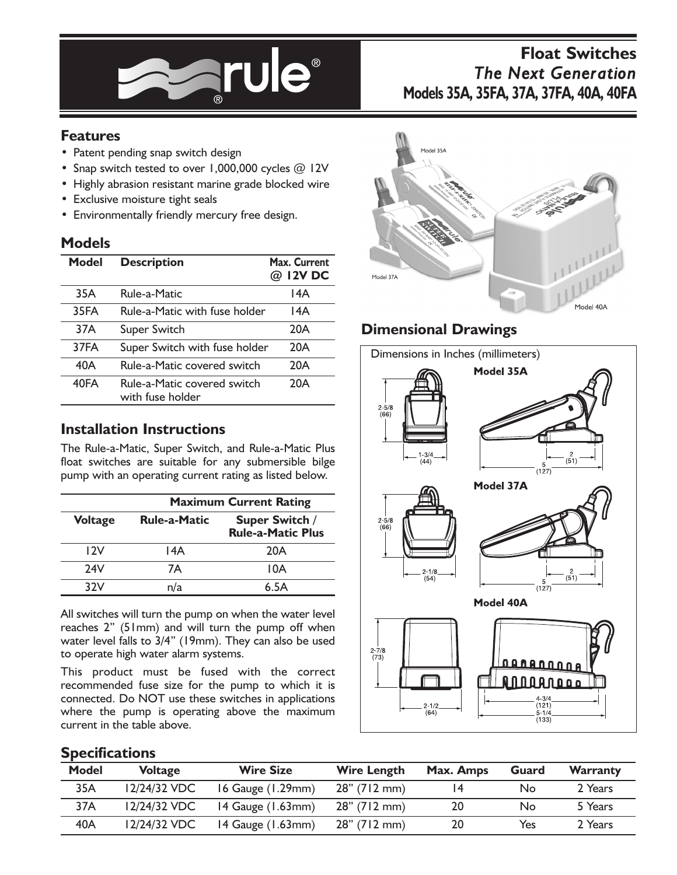

# **Float Switches** *The Next Generation* **Models 35A, 35FA, 37A, 37FA, 40A, 40FA**

## **Features**

- Patent pending snap switch design
- Snap switch tested to over  $1,000,000$  cycles  $@$  12V
- Highly abrasion resistant marine grade blocked wire
- Exclusive moisture tight seals
- Environmentally friendly mercury free design.

#### **Models**

| Model | <b>Description</b>                              | Max. Current<br>@ 12V DC |  |
|-------|-------------------------------------------------|--------------------------|--|
| 35A   | Rule-a-Matic                                    | 14A                      |  |
| 35FA  | Rule-a-Matic with fuse holder                   | 14A                      |  |
| 37A   | Super Switch                                    | 20A                      |  |
| 37FA  | Super Switch with fuse holder                   | 20A                      |  |
| 40A   | Rule-a-Matic covered switch                     | 20A                      |  |
| 40FA  | Rule-a-Matic covered switch<br>with fuse holder | 20A                      |  |

#### **Installation Instructions**

The Rule-a-Matic, Super Switch, and Rule-a-Matic Plus float switches are suitable for any submersible bilge pump with an operating current rating as listed below.

|                | <b>Maximum Current Rating</b> |                                            |  |  |
|----------------|-------------------------------|--------------------------------------------|--|--|
| <b>Voltage</b> | <b>Rule-a-Matic</b>           | Super Switch /<br><b>Rule-a-Matic Plus</b> |  |  |
| 12V            | 14A                           | 20A                                        |  |  |
| 24V            | 7А                            | 10A                                        |  |  |
| 32V            | n/a                           | 6.5A                                       |  |  |

All switches will turn the pump on when the water level reaches 2" (51mm) and will turn the pump off when water level falls to 3/4" (19mm). They can also be used to operate high water alarm systems.

This product must be fused with the correct recommended fuse size for the pump to which it is connected. Do NOT use these switches in applications where the pump is operating above the maximum current in the table above.



# **Dimensional Drawings**



#### **Specifications**

| Model | <b>Voltage</b> | <b>Wire Size</b>          | <b>Wire Length</b> | Max. Amps | Guard | Warranty |
|-------|----------------|---------------------------|--------------------|-----------|-------|----------|
| 35A   | 12/24/32 VDC   | 16 Gauge $(1.29$ mm $)$   | $28''$ (712 mm)    | 14        | No    | 2 Years  |
| 37A   | 12/24/32 VDC   | $14$ Gauge $(1.63$ mm $)$ | $28''$ (712 mm)    | 20        | No    | 5 Years  |
| 40A   | $12/24/32$ VDC | $14$ Gauge $(1.63$ mm $)$ | $28''$ (712 mm)    | 20        | Yes   | 2 Years  |